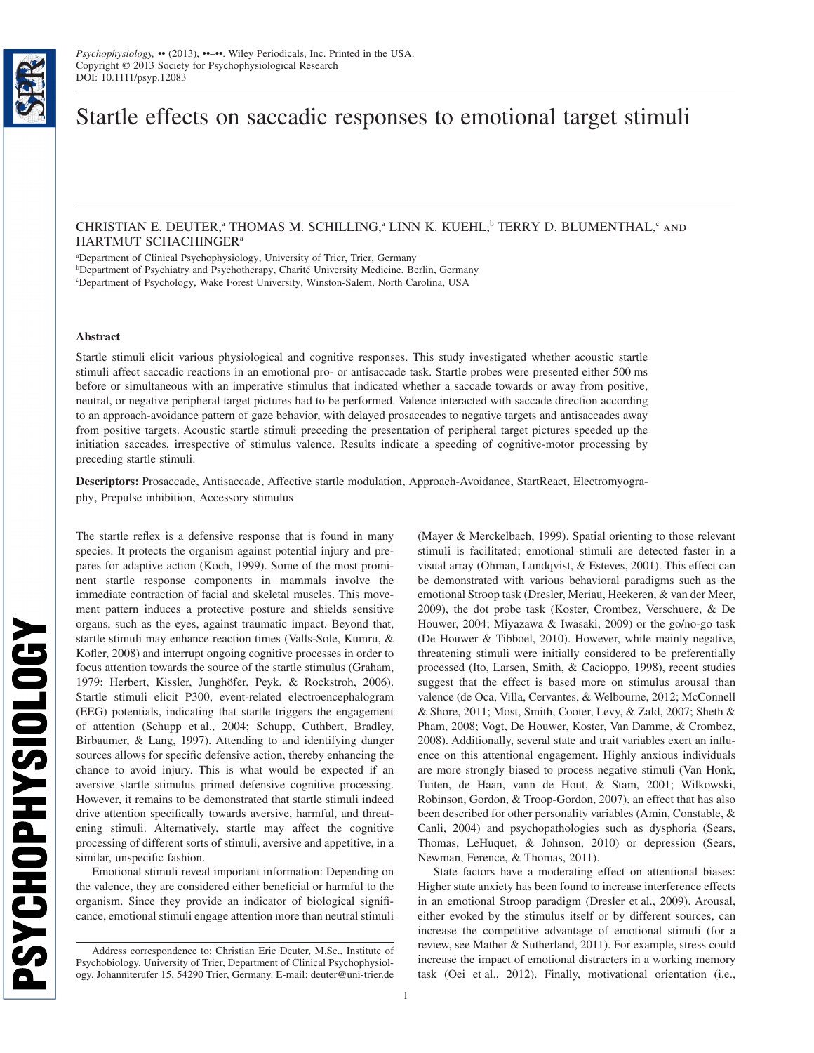bs\_bs\_banner

PSYCHOPHYSIOLOGY

# Startle effects on saccadic responses to emotional target stimuli

CHRISTIAN E. DEUTER,<sup>a</sup> THOMAS M. SCHILLING,<sup>a</sup> LINN K. KUEHL,<sup>b</sup> TERRY D. BLUMENTHAL,<sup>c</sup> and HARTMUT SCHACHINGER<sup>a</sup>

a Department of Clinical Psychophysiology, University of Trier, Trier, Germany <sup>b</sup>Department of Psychiatry and Psychotherapy, Charité University Medicine, Berlin, Germany c Department of Psychology, Wake Forest University, Winston-Salem, North Carolina, USA

# **Abstract**

Startle stimuli elicit various physiological and cognitive responses. This study investigated whether acoustic startle stimuli affect saccadic reactions in an emotional pro- or antisaccade task. Startle probes were presented either 500 ms before or simultaneous with an imperative stimulus that indicated whether a saccade towards or away from positive, neutral, or negative peripheral target pictures had to be performed. Valence interacted with saccade direction according to an approach-avoidance pattern of gaze behavior, with delayed prosaccades to negative targets and antisaccades away from positive targets. Acoustic startle stimuli preceding the presentation of peripheral target pictures speeded up the initiation saccades, irrespective of stimulus valence. Results indicate a speeding of cognitive-motor processing by preceding startle stimuli.

**Descriptors:** Prosaccade, Antisaccade, Affective startle modulation, Approach-Avoidance, StartReact, Electromyography, Prepulse inhibition, Accessory stimulus

The startle reflex is a defensive response that is found in many species. It protects the organism against potential injury and prepares for adaptive action (Koch, 1999). Some of the most prominent startle response components in mammals involve the immediate contraction of facial and skeletal muscles. This movement pattern induces a protective posture and shields sensitive organs, such as the eyes, against traumatic impact. Beyond that, startle stimuli may enhance reaction times (Valls-Sole, Kumru, & Kofler, 2008) and interrupt ongoing cognitive processes in order to focus attention towards the source of the startle stimulus (Graham, 1979; Herbert, Kissler, Junghöfer, Peyk, & Rockstroh, 2006). Startle stimuli elicit P300, event-related electroencephalogram (EEG) potentials, indicating that startle triggers the engagement of attention (Schupp et al., 2004; Schupp, Cuthbert, Bradley, Birbaumer, & Lang, 1997). Attending to and identifying danger sources allows for specific defensive action, thereby enhancing the chance to avoid injury. This is what would be expected if an aversive startle stimulus primed defensive cognitive processing. However, it remains to be demonstrated that startle stimuli indeed drive attention specifically towards aversive, harmful, and threatening stimuli. Alternatively, startle may affect the cognitive processing of different sorts of stimuli, aversive and appetitive, in a similar, unspecific fashion.

Emotional stimuli reveal important information: Depending on the valence, they are considered either beneficial or harmful to the organism. Since they provide an indicator of biological significance, emotional stimuli engage attention more than neutral stimuli (Mayer & Merckelbach, 1999). Spatial orienting to those relevant stimuli is facilitated; emotional stimuli are detected faster in a visual array (Ohman, Lundqvist, & Esteves, 2001). This effect can be demonstrated with various behavioral paradigms such as the emotional Stroop task (Dresler, Meriau, Heekeren, & van der Meer, 2009), the dot probe task (Koster, Crombez, Verschuere, & De Houwer, 2004; Miyazawa & Iwasaki, 2009) or the go/no-go task (De Houwer & Tibboel, 2010). However, while mainly negative, threatening stimuli were initially considered to be preferentially processed (Ito, Larsen, Smith, & Cacioppo, 1998), recent studies suggest that the effect is based more on stimulus arousal than valence (de Oca, Villa, Cervantes, & Welbourne, 2012; McConnell & Shore, 2011; Most, Smith, Cooter, Levy, & Zald, 2007; Sheth & Pham, 2008; Vogt, De Houwer, Koster, Van Damme, & Crombez, 2008). Additionally, several state and trait variables exert an influence on this attentional engagement. Highly anxious individuals are more strongly biased to process negative stimuli (Van Honk, Tuiten, de Haan, vann de Hout, & Stam, 2001; Wilkowski, Robinson, Gordon, & Troop-Gordon, 2007), an effect that has also been described for other personality variables (Amin, Constable, & Canli, 2004) and psychopathologies such as dysphoria (Sears, Thomas, LeHuquet, & Johnson, 2010) or depression (Sears, Newman, Ference, & Thomas, 2011).

State factors have a moderating effect on attentional biases: Higher state anxiety has been found to increase interference effects in an emotional Stroop paradigm (Dresler et al., 2009). Arousal, either evoked by the stimulus itself or by different sources, can increase the competitive advantage of emotional stimuli (for a review, see Mather & Sutherland, 2011). For example, stress could increase the impact of emotional distracters in a working memory task (Oei et al., 2012). Finally, motivational orientation (i.e.,

Address correspondence to: Christian Eric Deuter, M.Sc., Institute of Psychobiology, University of Trier, Department of Clinical Psychophysiology, Johanniterufer 15, 54290 Trier, Germany. E-mail: deuter@uni-trier.de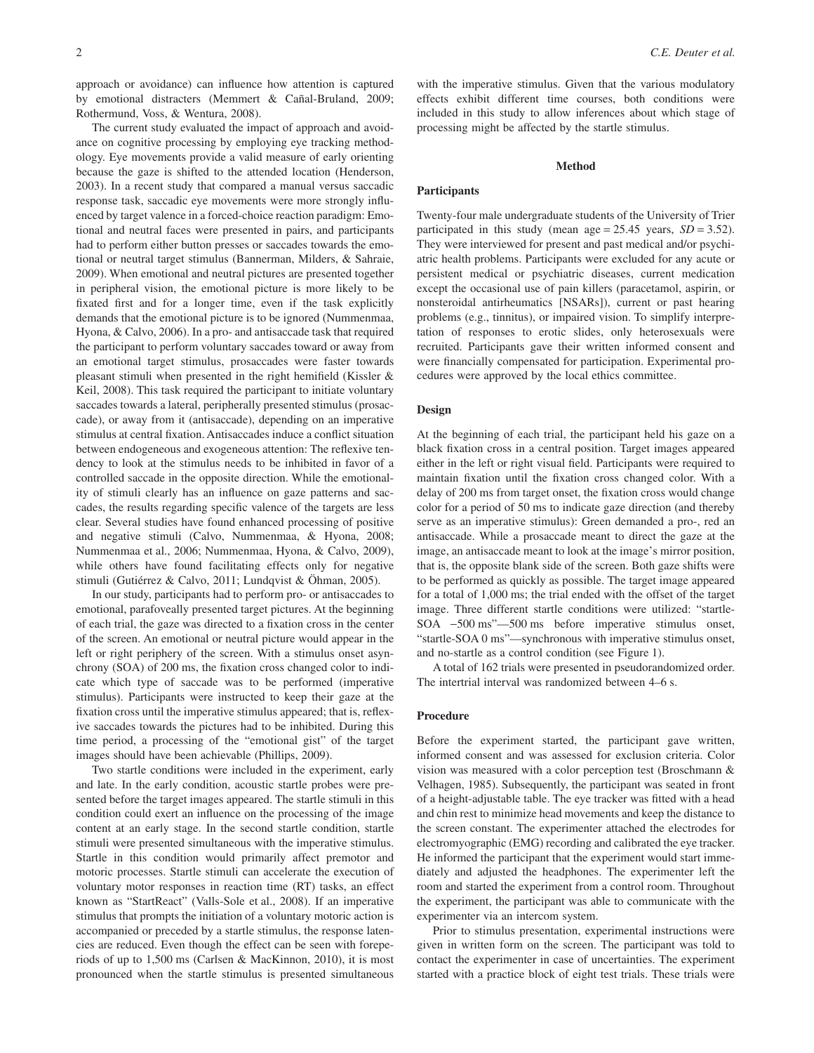approach or avoidance) can influence how attention is captured by emotional distracters (Memmert & Cañal-Bruland, 2009; Rothermund, Voss, & Wentura, 2008).

The current study evaluated the impact of approach and avoidance on cognitive processing by employing eye tracking methodology. Eye movements provide a valid measure of early orienting because the gaze is shifted to the attended location (Henderson, 2003). In a recent study that compared a manual versus saccadic response task, saccadic eye movements were more strongly influenced by target valence in a forced-choice reaction paradigm: Emotional and neutral faces were presented in pairs, and participants had to perform either button presses or saccades towards the emotional or neutral target stimulus (Bannerman, Milders, & Sahraie, 2009). When emotional and neutral pictures are presented together in peripheral vision, the emotional picture is more likely to be fixated first and for a longer time, even if the task explicitly demands that the emotional picture is to be ignored (Nummenmaa, Hyona, & Calvo, 2006). In a pro- and antisaccade task that required the participant to perform voluntary saccades toward or away from an emotional target stimulus, prosaccades were faster towards pleasant stimuli when presented in the right hemifield (Kissler & Keil, 2008). This task required the participant to initiate voluntary saccades towards a lateral, peripherally presented stimulus (prosaccade), or away from it (antisaccade), depending on an imperative stimulus at central fixation. Antisaccades induce a conflict situation between endogeneous and exogeneous attention: The reflexive tendency to look at the stimulus needs to be inhibited in favor of a controlled saccade in the opposite direction. While the emotionality of stimuli clearly has an influence on gaze patterns and saccades, the results regarding specific valence of the targets are less clear. Several studies have found enhanced processing of positive and negative stimuli (Calvo, Nummenmaa, & Hyona, 2008; Nummenmaa et al., 2006; Nummenmaa, Hyona, & Calvo, 2009), while others have found facilitating effects only for negative stimuli (Gutiérrez & Calvo, 2011; Lundqvist & Öhman, 2005).

In our study, participants had to perform pro- or antisaccades to emotional, parafoveally presented target pictures. At the beginning of each trial, the gaze was directed to a fixation cross in the center of the screen. An emotional or neutral picture would appear in the left or right periphery of the screen. With a stimulus onset asynchrony (SOA) of 200 ms, the fixation cross changed color to indicate which type of saccade was to be performed (imperative stimulus). Participants were instructed to keep their gaze at the fixation cross until the imperative stimulus appeared; that is, reflexive saccades towards the pictures had to be inhibited. During this time period, a processing of the "emotional gist" of the target images should have been achievable (Phillips, 2009).

Two startle conditions were included in the experiment, early and late. In the early condition, acoustic startle probes were presented before the target images appeared. The startle stimuli in this condition could exert an influence on the processing of the image content at an early stage. In the second startle condition, startle stimuli were presented simultaneous with the imperative stimulus. Startle in this condition would primarily affect premotor and motoric processes. Startle stimuli can accelerate the execution of voluntary motor responses in reaction time (RT) tasks, an effect known as "StartReact" (Valls-Sole et al., 2008). If an imperative stimulus that prompts the initiation of a voluntary motoric action is accompanied or preceded by a startle stimulus, the response latencies are reduced. Even though the effect can be seen with foreperiods of up to 1,500 ms (Carlsen & MacKinnon, 2010), it is most pronounced when the startle stimulus is presented simultaneous

with the imperative stimulus. Given that the various modulatory effects exhibit different time courses, both conditions were included in this study to allow inferences about which stage of processing might be affected by the startle stimulus.

# **Method**

## **Participants**

Twenty-four male undergraduate students of the University of Trier participated in this study (mean age  $= 25.45$  years,  $SD = 3.52$ ). They were interviewed for present and past medical and/or psychiatric health problems. Participants were excluded for any acute or persistent medical or psychiatric diseases, current medication except the occasional use of pain killers (paracetamol, aspirin, or nonsteroidal antirheumatics [NSARs]), current or past hearing problems (e.g., tinnitus), or impaired vision. To simplify interpretation of responses to erotic slides, only heterosexuals were recruited. Participants gave their written informed consent and were financially compensated for participation. Experimental procedures were approved by the local ethics committee.

## **Design**

At the beginning of each trial, the participant held his gaze on a black fixation cross in a central position. Target images appeared either in the left or right visual field. Participants were required to maintain fixation until the fixation cross changed color. With a delay of 200 ms from target onset, the fixation cross would change color for a period of 50 ms to indicate gaze direction (and thereby serve as an imperative stimulus): Green demanded a pro-, red an antisaccade. While a prosaccade meant to direct the gaze at the image, an antisaccade meant to look at the image's mirror position, that is, the opposite blank side of the screen. Both gaze shifts were to be performed as quickly as possible. The target image appeared for a total of 1,000 ms; the trial ended with the offset of the target image. Three different startle conditions were utilized: "startle-SOA -500 ms"—500 ms before imperative stimulus onset, "startle-SOA 0 ms"—synchronous with imperative stimulus onset, and no-startle as a control condition (see Figure 1).

A total of 162 trials were presented in pseudorandomized order. The intertrial interval was randomized between 4–6 s.

# **Procedure**

Before the experiment started, the participant gave written, informed consent and was assessed for exclusion criteria. Color vision was measured with a color perception test (Broschmann & Velhagen, 1985). Subsequently, the participant was seated in front of a height-adjustable table. The eye tracker was fitted with a head and chin rest to minimize head movements and keep the distance to the screen constant. The experimenter attached the electrodes for electromyographic (EMG) recording and calibrated the eye tracker. He informed the participant that the experiment would start immediately and adjusted the headphones. The experimenter left the room and started the experiment from a control room. Throughout the experiment, the participant was able to communicate with the experimenter via an intercom system.

Prior to stimulus presentation, experimental instructions were given in written form on the screen. The participant was told to contact the experimenter in case of uncertainties. The experiment started with a practice block of eight test trials. These trials were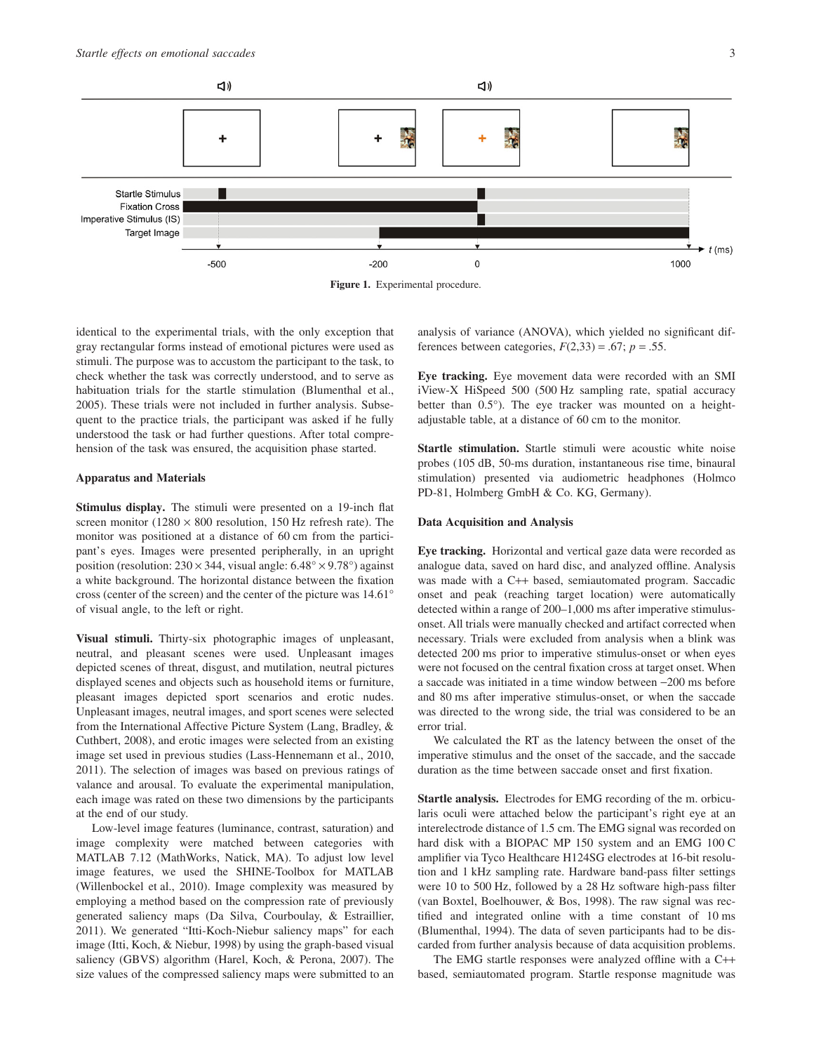

identical to the experimental trials, with the only exception that gray rectangular forms instead of emotional pictures were used as stimuli. The purpose was to accustom the participant to the task, to check whether the task was correctly understood, and to serve as habituation trials for the startle stimulation (Blumenthal et al., 2005). These trials were not included in further analysis. Subsequent to the practice trials, the participant was asked if he fully understood the task or had further questions. After total comprehension of the task was ensured, the acquisition phase started.

#### **Apparatus and Materials**

**Stimulus display.** The stimuli were presented on a 19-inch flat screen monitor (1280  $\times$  800 resolution, 150 Hz refresh rate). The monitor was positioned at a distance of 60 cm from the participant's eyes. Images were presented peripherally, in an upright position (resolution:  $230 \times 344$ , visual angle:  $6.48^\circ \times 9.78^\circ$ ) against a white background. The horizontal distance between the fixation cross (center of the screen) and the center of the picture was 14.61° of visual angle, to the left or right.

**Visual stimuli.** Thirty-six photographic images of unpleasant, neutral, and pleasant scenes were used. Unpleasant images depicted scenes of threat, disgust, and mutilation, neutral pictures displayed scenes and objects such as household items or furniture, pleasant images depicted sport scenarios and erotic nudes. Unpleasant images, neutral images, and sport scenes were selected from the International Affective Picture System (Lang, Bradley, & Cuthbert, 2008), and erotic images were selected from an existing image set used in previous studies (Lass-Hennemann et al., 2010, 2011). The selection of images was based on previous ratings of valance and arousal. To evaluate the experimental manipulation, each image was rated on these two dimensions by the participants at the end of our study.

Low-level image features (luminance, contrast, saturation) and image complexity were matched between categories with MATLAB 7.12 (MathWorks, Natick, MA). To adjust low level image features, we used the SHINE-Toolbox for MATLAB (Willenbockel et al., 2010). Image complexity was measured by employing a method based on the compression rate of previously generated saliency maps (Da Silva, Courboulay, & Estraillier, 2011). We generated "Itti-Koch-Niebur saliency maps" for each image (Itti, Koch, & Niebur, 1998) by using the graph-based visual saliency (GBVS) algorithm (Harel, Koch, & Perona, 2007). The size values of the compressed saliency maps were submitted to an analysis of variance (ANOVA), which yielded no significant differences between categories,  $F(2,33) = .67$ ;  $p = .55$ .

**Eye tracking.** Eye movement data were recorded with an SMI iView-X HiSpeed 500 (500 Hz sampling rate, spatial accuracy better than 0.5°). The eye tracker was mounted on a heightadjustable table, at a distance of 60 cm to the monitor.

**Startle stimulation.** Startle stimuli were acoustic white noise probes (105 dB, 50-ms duration, instantaneous rise time, binaural stimulation) presented via audiometric headphones (Holmco PD-81, Holmberg GmbH & Co. KG, Germany).

#### **Data Acquisition and Analysis**

**Eye tracking.** Horizontal and vertical gaze data were recorded as analogue data, saved on hard disc, and analyzed offline. Analysis was made with a C++ based, semiautomated program. Saccadic onset and peak (reaching target location) were automatically detected within a range of 200–1,000 ms after imperative stimulusonset. All trials were manually checked and artifact corrected when necessary. Trials were excluded from analysis when a blink was detected 200 ms prior to imperative stimulus-onset or when eyes were not focused on the central fixation cross at target onset. When a saccade was initiated in a time window between -200 ms before and 80 ms after imperative stimulus-onset, or when the saccade was directed to the wrong side, the trial was considered to be an error trial.

We calculated the RT as the latency between the onset of the imperative stimulus and the onset of the saccade, and the saccade duration as the time between saccade onset and first fixation.

**Startle analysis.** Electrodes for EMG recording of the m. orbicularis oculi were attached below the participant's right eye at an interelectrode distance of 1.5 cm. The EMG signal was recorded on hard disk with a BIOPAC MP 150 system and an EMG 100 C amplifier via Tyco Healthcare H124SG electrodes at 16-bit resolution and 1 kHz sampling rate. Hardware band-pass filter settings were 10 to 500 Hz, followed by a 28 Hz software high-pass filter (van Boxtel, Boelhouwer, & Bos, 1998). The raw signal was rectified and integrated online with a time constant of 10 ms (Blumenthal, 1994). The data of seven participants had to be discarded from further analysis because of data acquisition problems.

The EMG startle responses were analyzed offline with a C++ based, semiautomated program. Startle response magnitude was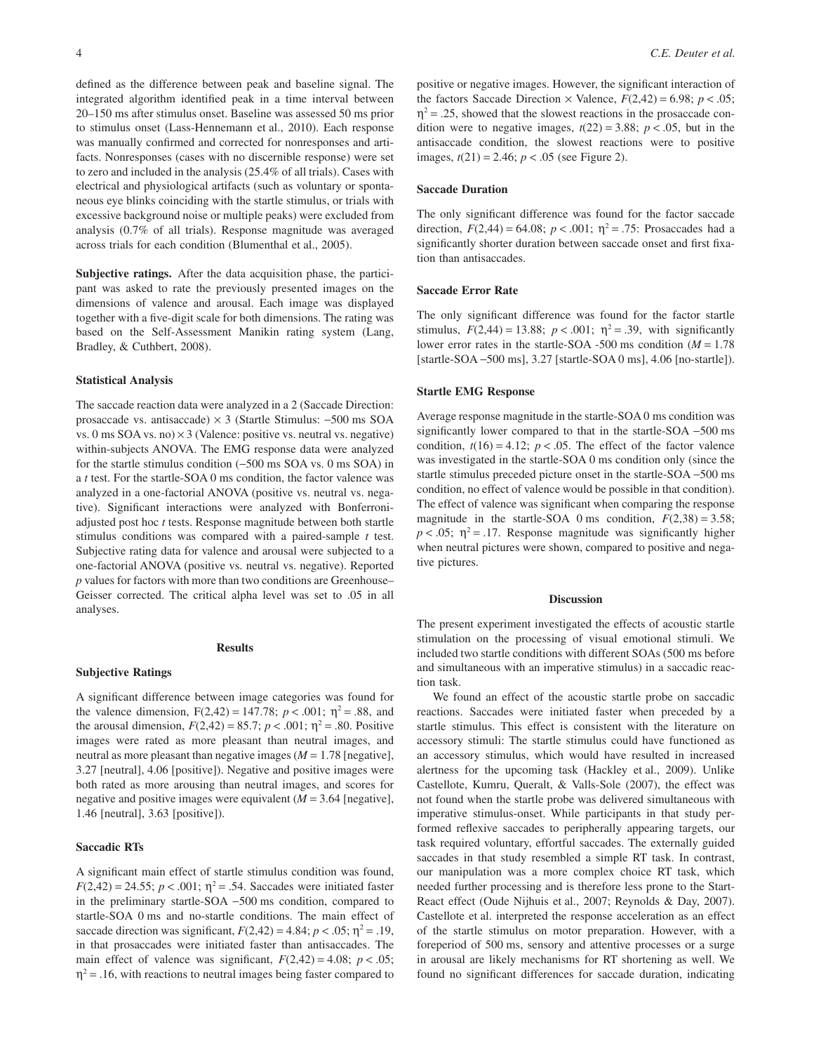defined as the difference between peak and baseline signal. The integrated algorithm identified peak in a time interval between 20–150 ms after stimulus onset. Baseline was assessed 50 ms prior to stimulus onset (Lass-Hennemann et al., 2010). Each response was manually confirmed and corrected for nonresponses and artifacts. Nonresponses (cases with no discernible response) were set to zero and included in the analysis (25.4% of all trials). Cases with electrical and physiological artifacts (such as voluntary or spontaneous eye blinks coinciding with the startle stimulus, or trials with excessive background noise or multiple peaks) were excluded from analysis (0.7% of all trials). Response magnitude was averaged across trials for each condition (Blumenthal et al., 2005).

**Subjective ratings.** After the data acquisition phase, the participant was asked to rate the previously presented images on the dimensions of valence and arousal. Each image was displayed together with a five-digit scale for both dimensions. The rating was based on the Self-Assessment Manikin rating system (Lang, Bradley, & Cuthbert, 2008).

#### **Statistical Analysis**

The saccade reaction data were analyzed in a 2 (Saccade Direction: prosaccade vs. antisaccade)  $\times$  3 (Startle Stimulus:  $-500$  ms SOA vs. 0 ms SOA vs. no)  $\times$  3 (Valence: positive vs. neutral vs. negative) within-subjects ANOVA. The EMG response data were analyzed for the startle stimulus condition  $(-500 \text{ ms SOA vs. } 0 \text{ ms SOA})$  in a *t* test. For the startle-SOA 0 ms condition, the factor valence was analyzed in a one-factorial ANOVA (positive vs. neutral vs. negative). Significant interactions were analyzed with Bonferroniadjusted post hoc *t* tests. Response magnitude between both startle stimulus conditions was compared with a paired-sample *t* test. Subjective rating data for valence and arousal were subjected to a one-factorial ANOVA (positive vs. neutral vs. negative). Reported *p* values for factors with more than two conditions are Greenhouse– Geisser corrected. The critical alpha level was set to .05 in all analyses.

#### **Results**

#### **Subjective Ratings**

A significant difference between image categories was found for the valence dimension,  $F(2,42) = 147.78$ ;  $p < .001$ ;  $\eta^2 = .88$ , and the arousal dimension,  $F(2,42) = 85.7$ ;  $p < .001$ ;  $\eta^2 = .80$ . Positive images were rated as more pleasant than neutral images, and neutral as more pleasant than negative images (*M* = 1.78 [negative], 3.27 [neutral], 4.06 [positive]). Negative and positive images were both rated as more arousing than neutral images, and scores for negative and positive images were equivalent  $(M = 3.64$  [negative], 1.46 [neutral], 3.63 [positive]).

# **Saccadic RTs**

A significant main effect of startle stimulus condition was found,  $F(2,42) = 24.55$ ;  $p < .001$ ;  $\eta^2 = .54$ . Saccades were initiated faster in the preliminary startle-SOA -500 ms condition, compared to startle-SOA 0 ms and no-startle conditions. The main effect of saccade direction was significant,  $F(2,42) = 4.84$ ;  $p < .05$ ;  $\eta^2 = .19$ , in that prosaccades were initiated faster than antisaccades. The main effect of valence was significant,  $F(2,42) = 4.08$ ;  $p < .05$ ;  $\eta^2$  = .16, with reactions to neutral images being faster compared to

positive or negative images. However, the significant interaction of the factors Saccade Direction  $\times$  Valence,  $F(2,42) = 6.98$ ;  $p < .05$ ;  $\eta^2$  = .25, showed that the slowest reactions in the prosaccade condition were to negative images,  $t(22) = 3.88$ ;  $p < .05$ , but in the antisaccade condition, the slowest reactions were to positive images,  $t(21) = 2.46$ ;  $p < .05$  (see Figure 2).

# **Saccade Duration**

The only significant difference was found for the factor saccade direction,  $F(2,44) = 64.08$ ;  $p < .001$ ;  $\eta^2 = .75$ : Prosaccades had a significantly shorter duration between saccade onset and first fixation than antisaccades.

#### **Saccade Error Rate**

The only significant difference was found for the factor startle stimulus,  $F(2,44) = 13.88$ ;  $p < .001$ ;  $\eta^2 = .39$ , with significantly lower error rates in the startle-SOA -500 ms condition  $(M = 1.78)$ [startle-SOA -500 ms], 3.27 [startle-SOA 0 ms], 4.06 [no-startle]).

#### **Startle EMG Response**

Average response magnitude in the startle-SOA 0 ms condition was significantly lower compared to that in the startle-SOA -500 ms condition,  $t(16) = 4.12$ ;  $p < .05$ . The effect of the factor valence was investigated in the startle-SOA 0 ms condition only (since the startle stimulus preceded picture onset in the startle-SOA -500 ms condition, no effect of valence would be possible in that condition). The effect of valence was significant when comparing the response magnitude in the startle-SOA 0 ms condition,  $F(2,38) = 3.58$ ;  $p < .05$ ;  $\eta^2 = .17$ . Response magnitude was significantly higher when neutral pictures were shown, compared to positive and negative pictures.

#### **Discussion**

The present experiment investigated the effects of acoustic startle stimulation on the processing of visual emotional stimuli. We included two startle conditions with different SOAs (500 ms before and simultaneous with an imperative stimulus) in a saccadic reaction task.

We found an effect of the acoustic startle probe on saccadic reactions. Saccades were initiated faster when preceded by a startle stimulus. This effect is consistent with the literature on accessory stimuli: The startle stimulus could have functioned as an accessory stimulus, which would have resulted in increased alertness for the upcoming task (Hackley et al., 2009). Unlike Castellote, Kumru, Queralt, & Valls-Sole (2007), the effect was not found when the startle probe was delivered simultaneous with imperative stimulus-onset. While participants in that study performed reflexive saccades to peripherally appearing targets, our task required voluntary, effortful saccades. The externally guided saccades in that study resembled a simple RT task. In contrast, our manipulation was a more complex choice RT task, which needed further processing and is therefore less prone to the Start-React effect (Oude Nijhuis et al., 2007; Reynolds & Day, 2007). Castellote et al. interpreted the response acceleration as an effect of the startle stimulus on motor preparation. However, with a foreperiod of 500 ms, sensory and attentive processes or a surge in arousal are likely mechanisms for RT shortening as well. We found no significant differences for saccade duration, indicating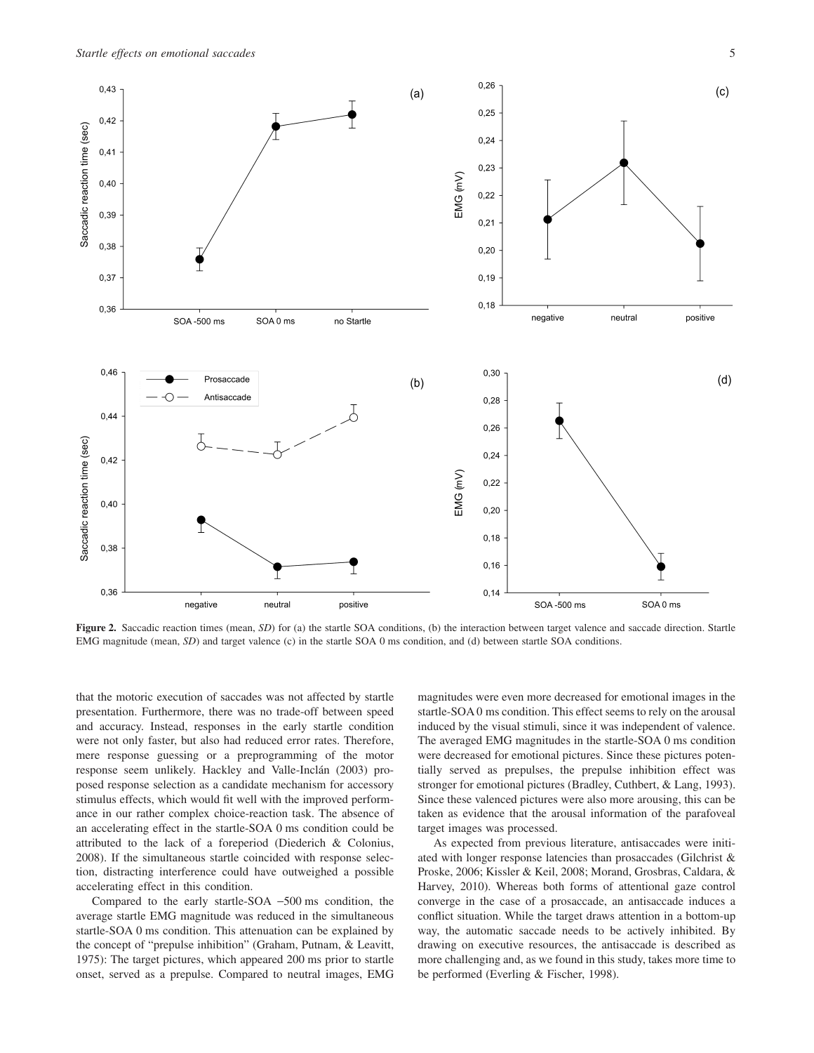

**Figure 2.** Saccadic reaction times (mean, *SD*) for (a) the startle SOA conditions, (b) the interaction between target valence and saccade direction. Startle EMG magnitude (mean, *SD*) and target valence (c) in the startle SOA 0 ms condition, and (d) between startle SOA conditions.

that the motoric execution of saccades was not affected by startle presentation. Furthermore, there was no trade-off between speed and accuracy. Instead, responses in the early startle condition were not only faster, but also had reduced error rates. Therefore, mere response guessing or a preprogramming of the motor response seem unlikely. Hackley and Valle-Inclán (2003) proposed response selection as a candidate mechanism for accessory stimulus effects, which would fit well with the improved performance in our rather complex choice-reaction task. The absence of an accelerating effect in the startle-SOA 0 ms condition could be attributed to the lack of a foreperiod (Diederich & Colonius, 2008). If the simultaneous startle coincided with response selection, distracting interference could have outweighed a possible accelerating effect in this condition.

Compared to the early startle-SOA -500 ms condition, the average startle EMG magnitude was reduced in the simultaneous startle-SOA 0 ms condition. This attenuation can be explained by the concept of "prepulse inhibition" (Graham, Putnam, & Leavitt, 1975): The target pictures, which appeared 200 ms prior to startle onset, served as a prepulse. Compared to neutral images, EMG

magnitudes were even more decreased for emotional images in the startle-SOA 0 ms condition. This effect seems to rely on the arousal induced by the visual stimuli, since it was independent of valence. The averaged EMG magnitudes in the startle-SOA 0 ms condition were decreased for emotional pictures. Since these pictures potentially served as prepulses, the prepulse inhibition effect was stronger for emotional pictures (Bradley, Cuthbert, & Lang, 1993). Since these valenced pictures were also more arousing, this can be taken as evidence that the arousal information of the parafoveal target images was processed.

As expected from previous literature, antisaccades were initiated with longer response latencies than prosaccades (Gilchrist & Proske, 2006; Kissler & Keil, 2008; Morand, Grosbras, Caldara, & Harvey, 2010). Whereas both forms of attentional gaze control converge in the case of a prosaccade, an antisaccade induces a conflict situation. While the target draws attention in a bottom-up way, the automatic saccade needs to be actively inhibited. By drawing on executive resources, the antisaccade is described as more challenging and, as we found in this study, takes more time to be performed (Everling & Fischer, 1998).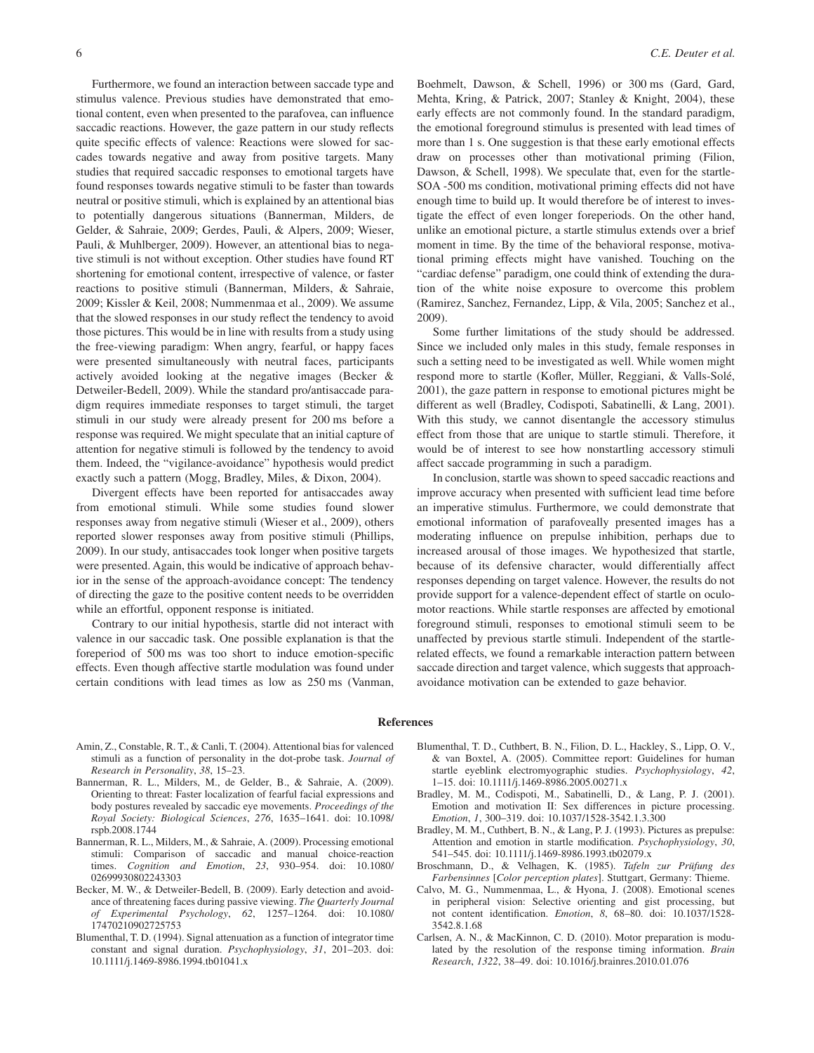Furthermore, we found an interaction between saccade type and stimulus valence. Previous studies have demonstrated that emotional content, even when presented to the parafovea, can influence saccadic reactions. However, the gaze pattern in our study reflects quite specific effects of valence: Reactions were slowed for saccades towards negative and away from positive targets. Many studies that required saccadic responses to emotional targets have found responses towards negative stimuli to be faster than towards neutral or positive stimuli, which is explained by an attentional bias to potentially dangerous situations (Bannerman, Milders, de Gelder, & Sahraie, 2009; Gerdes, Pauli, & Alpers, 2009; Wieser, Pauli, & Muhlberger, 2009). However, an attentional bias to negative stimuli is not without exception. Other studies have found RT shortening for emotional content, irrespective of valence, or faster reactions to positive stimuli (Bannerman, Milders, & Sahraie, 2009; Kissler & Keil, 2008; Nummenmaa et al., 2009). We assume that the slowed responses in our study reflect the tendency to avoid those pictures. This would be in line with results from a study using the free-viewing paradigm: When angry, fearful, or happy faces were presented simultaneously with neutral faces, participants actively avoided looking at the negative images (Becker & Detweiler-Bedell, 2009). While the standard pro/antisaccade paradigm requires immediate responses to target stimuli, the target stimuli in our study were already present for 200 ms before a response was required. We might speculate that an initial capture of attention for negative stimuli is followed by the tendency to avoid them. Indeed, the "vigilance-avoidance" hypothesis would predict exactly such a pattern (Mogg, Bradley, Miles, & Dixon, 2004).

Divergent effects have been reported for antisaccades away from emotional stimuli. While some studies found slower responses away from negative stimuli (Wieser et al., 2009), others reported slower responses away from positive stimuli (Phillips, 2009). In our study, antisaccades took longer when positive targets were presented. Again, this would be indicative of approach behavior in the sense of the approach-avoidance concept: The tendency of directing the gaze to the positive content needs to be overridden while an effortful, opponent response is initiated.

Contrary to our initial hypothesis, startle did not interact with valence in our saccadic task. One possible explanation is that the foreperiod of 500 ms was too short to induce emotion-specific effects. Even though affective startle modulation was found under certain conditions with lead times as low as 250 ms (Vanman,

Boehmelt, Dawson, & Schell, 1996) or 300 ms (Gard, Gard, Mehta, Kring, & Patrick, 2007; Stanley & Knight, 2004), these early effects are not commonly found. In the standard paradigm, the emotional foreground stimulus is presented with lead times of more than 1 s. One suggestion is that these early emotional effects draw on processes other than motivational priming (Filion, Dawson, & Schell, 1998). We speculate that, even for the startle-SOA -500 ms condition, motivational priming effects did not have enough time to build up. It would therefore be of interest to investigate the effect of even longer foreperiods. On the other hand, unlike an emotional picture, a startle stimulus extends over a brief moment in time. By the time of the behavioral response, motivational priming effects might have vanished. Touching on the "cardiac defense" paradigm, one could think of extending the duration of the white noise exposure to overcome this problem (Ramirez, Sanchez, Fernandez, Lipp, & Vila, 2005; Sanchez et al., 2009).

Some further limitations of the study should be addressed. Since we included only males in this study, female responses in such a setting need to be investigated as well. While women might respond more to startle (Kofler, Müller, Reggiani, & Valls-Solé, 2001), the gaze pattern in response to emotional pictures might be different as well (Bradley, Codispoti, Sabatinelli, & Lang, 2001). With this study, we cannot disentangle the accessory stimulus effect from those that are unique to startle stimuli. Therefore, it would be of interest to see how nonstartling accessory stimuli affect saccade programming in such a paradigm.

In conclusion, startle was shown to speed saccadic reactions and improve accuracy when presented with sufficient lead time before an imperative stimulus. Furthermore, we could demonstrate that emotional information of parafoveally presented images has a moderating influence on prepulse inhibition, perhaps due to increased arousal of those images. We hypothesized that startle, because of its defensive character, would differentially affect responses depending on target valence. However, the results do not provide support for a valence-dependent effect of startle on oculomotor reactions. While startle responses are affected by emotional foreground stimuli, responses to emotional stimuli seem to be unaffected by previous startle stimuli. Independent of the startlerelated effects, we found a remarkable interaction pattern between saccade direction and target valence, which suggests that approachavoidance motivation can be extended to gaze behavior.

#### **References**

- Amin, Z., Constable, R. T., & Canli, T. (2004). Attentional bias for valenced stimuli as a function of personality in the dot-probe task. *Journal of Research in Personality*, *38*, 15–23.
- Bannerman, R. L., Milders, M., de Gelder, B., & Sahraie, A. (2009). Orienting to threat: Faster localization of fearful facial expressions and body postures revealed by saccadic eye movements. *Proceedings of the Royal Society: Biological Sciences*, *276*, 1635–1641. doi: 10.1098/ rspb.2008.1744
- Bannerman, R. L., Milders, M., & Sahraie, A. (2009). Processing emotional stimuli: Comparison of saccadic and manual choice-reaction times. *Cognition and Emotion*, *23*, 930–954. doi: 10.1080/ 02699930802243303
- Becker, M. W., & Detweiler-Bedell, B. (2009). Early detection and avoidance of threatening faces during passive viewing. *The Quarterly Journal of Experimental Psychology*, *62*, 1257–1264. doi: 10.1080/ 17470210902725753
- Blumenthal, T. D. (1994). Signal attenuation as a function of integrator time constant and signal duration. *Psychophysiology*, *31*, 201–203. doi: 10.1111/j.1469-8986.1994.tb01041.x
- Blumenthal, T. D., Cuthbert, B. N., Filion, D. L., Hackley, S., Lipp, O. V., & van Boxtel, A. (2005). Committee report: Guidelines for human startle eyeblink electromyographic studies. *Psychophysiology*, *42*, 1–15. doi: 10.1111/j.1469-8986.2005.00271.x
- Bradley, M. M., Codispoti, M., Sabatinelli, D., & Lang, P. J. (2001). Emotion and motivation II: Sex differences in picture processing. *Emotion*, *1*, 300–319. doi: 10.1037/1528-3542.1.3.300
- Bradley, M. M., Cuthbert, B. N., & Lang, P. J. (1993). Pictures as prepulse: Attention and emotion in startle modification. *Psychophysiology*, *30*, 541–545. doi: 10.1111/j.1469-8986.1993.tb02079.x
- Broschmann, D., & Velhagen, K. (1985). *Tafeln zur Prüfung des Farbensinnes* [*Color perception plates*]. Stuttgart, Germany: Thieme.
- Calvo, M. G., Nummenmaa, L., & Hyona, J. (2008). Emotional scenes in peripheral vision: Selective orienting and gist processing, but not content identification. *Emotion*, *8*, 68–80. doi: 10.1037/1528- 3542.8.1.68
- Carlsen, A. N., & MacKinnon, C. D. (2010). Motor preparation is modulated by the resolution of the response timing information. *Brain Research*, *1322*, 38–49. doi: 10.1016/j.brainres.2010.01.076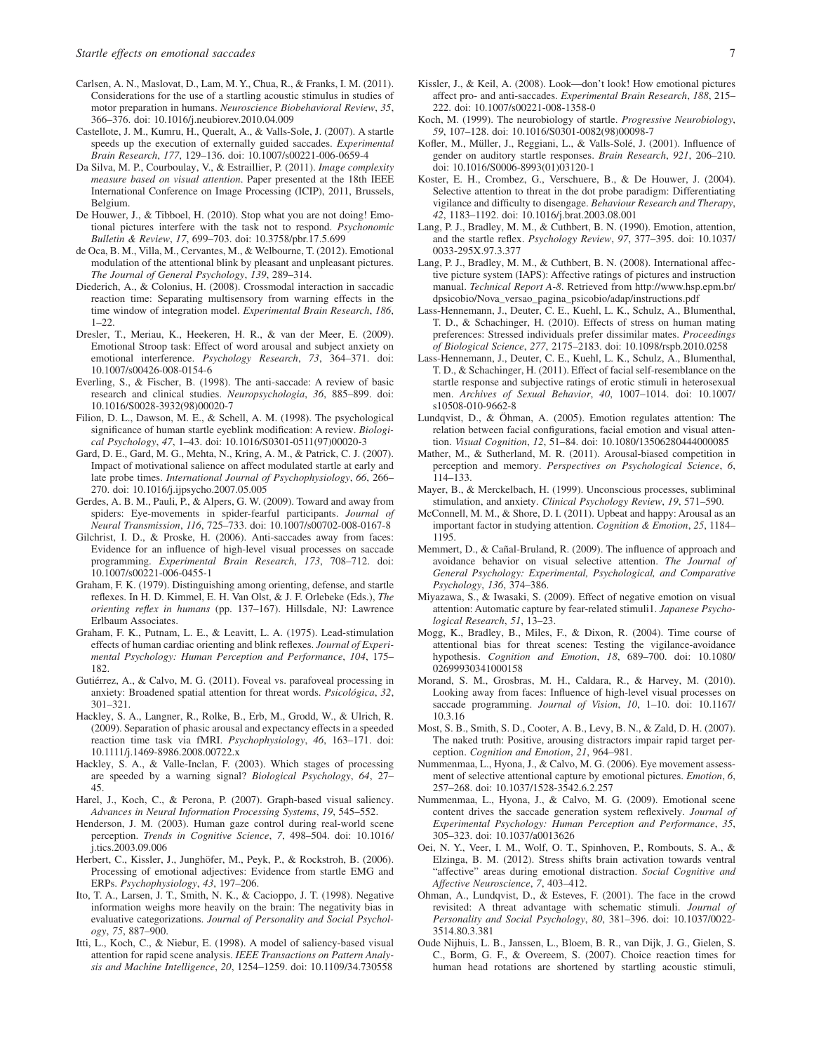- Carlsen, A. N., Maslovat, D., Lam, M. Y., Chua, R., & Franks, I. M. (2011). Considerations for the use of a startling acoustic stimulus in studies of motor preparation in humans. *Neuroscience Biobehavioral Review*, *35*, 366–376. doi: 10.1016/j.neubiorev.2010.04.009
- Castellote, J. M., Kumru, H., Queralt, A., & Valls-Sole, J. (2007). A startle speeds up the execution of externally guided saccades. *Experimental Brain Research*, *177*, 129–136. doi: 10.1007/s00221-006-0659-4
- Da Silva, M. P., Courboulay, V., & Estraillier, P. (2011). *Image complexity measure based on visual attention*. Paper presented at the 18th IEEE International Conference on Image Processing (ICIP), 2011, Brussels, Belgium.
- De Houwer, J., & Tibboel, H. (2010). Stop what you are not doing! Emotional pictures interfere with the task not to respond. *Psychonomic Bulletin & Review*, *17*, 699–703. doi: 10.3758/pbr.17.5.699
- de Oca, B. M., Villa, M., Cervantes, M., & Welbourne, T. (2012). Emotional modulation of the attentional blink by pleasant and unpleasant pictures. *The Journal of General Psychology*, *139*, 289–314.
- Diederich, A., & Colonius, H. (2008). Crossmodal interaction in saccadic reaction time: Separating multisensory from warning effects in the time window of integration model. *Experimental Brain Research*, *186*, 1–22.
- Dresler, T., Meriau, K., Heekeren, H. R., & van der Meer, E. (2009). Emotional Stroop task: Effect of word arousal and subject anxiety on emotional interference. *Psychology Research*, *73*, 364–371. doi: 10.1007/s00426-008-0154-6
- Everling, S., & Fischer, B. (1998). The anti-saccade: A review of basic research and clinical studies. *Neuropsychologia*, *36*, 885–899. doi: 10.1016/S0028-3932(98)00020-7
- Filion, D. L., Dawson, M. E., & Schell, A. M. (1998). The psychological significance of human startle eyeblink modification: A review. *Biological Psychology*, *47*, 1–43. doi: 10.1016/S0301-0511(97)00020-3
- Gard, D. E., Gard, M. G., Mehta, N., Kring, A. M., & Patrick, C. J. (2007). Impact of motivational salience on affect modulated startle at early and late probe times. *International Journal of Psychophysiology*, *66*, 266– 270. doi: 10.1016/j.ijpsycho.2007.05.005
- Gerdes, A. B. M., Pauli, P., & Alpers, G. W. (2009). Toward and away from spiders: Eye-movements in spider-fearful participants. *Journal of Neural Transmission*, *116*, 725–733. doi: 10.1007/s00702-008-0167-8
- Gilchrist, I. D., & Proske, H. (2006). Anti-saccades away from faces: Evidence for an influence of high-level visual processes on saccade programming. *Experimental Brain Research*, *173*, 708–712. doi: 10.1007/s00221-006-0455-1
- Graham, F. K. (1979). Distinguishing among orienting, defense, and startle reflexes. In H. D. Kimmel, E. H. Van Olst, & J. F. Orlebeke (Eds.), *The orienting reflex in humans* (pp. 137–167). Hillsdale, NJ: Lawrence Erlbaum Associates.
- Graham, F. K., Putnam, L. E., & Leavitt, L. A. (1975). Lead-stimulation effects of human cardiac orienting and blink reflexes. *Journal of Experimental Psychology: Human Perception and Performance*, *104*, 175– 182.
- Gutiérrez, A., & Calvo, M. G. (2011). Foveal vs. parafoveal processing in anxiety: Broadened spatial attention for threat words. *Psicológica*, *32*, 301–321.
- Hackley, S. A., Langner, R., Rolke, B., Erb, M., Grodd, W., & Ulrich, R. (2009). Separation of phasic arousal and expectancy effects in a speeded reaction time task via fMRI. *Psychophysiology*, *46*, 163–171. doi: 10.1111/j.1469-8986.2008.00722.x
- Hackley, S. A., & Valle-Inclan, F. (2003). Which stages of processing are speeded by a warning signal? *Biological Psychology*, *64*, 27– 45.
- Harel, J., Koch, C., & Perona, P. (2007). Graph-based visual saliency. *Advances in Neural Information Processing Systems*, *19*, 545–552.
- Henderson, J. M. (2003). Human gaze control during real-world scene perception. *Trends in Cognitive Science*, *7*, 498–504. doi: 10.1016/ j.tics.2003.09.006
- Herbert, C., Kissler, J., Junghöfer, M., Peyk, P., & Rockstroh, B. (2006). Processing of emotional adjectives: Evidence from startle EMG and ERPs. *Psychophysiology*, *43*, 197–206.
- Ito, T. A., Larsen, J. T., Smith, N. K., & Cacioppo, J. T. (1998). Negative information weighs more heavily on the brain: The negativity bias in evaluative categorizations. *Journal of Personality and Social Psychology*, *75*, 887–900.
- Itti, L., Koch, C., & Niebur, E. (1998). A model of saliency-based visual attention for rapid scene analysis. *IEEE Transactions on Pattern Analysis and Machine Intelligence*, *20*, 1254–1259. doi: 10.1109/34.730558
- Kissler, J., & Keil, A. (2008). Look—don't look! How emotional pictures affect pro- and anti-saccades. *Experimental Brain Research*, *188*, 215– 222. doi: 10.1007/s00221-008-1358-0
- Koch, M. (1999). The neurobiology of startle. *Progressive Neurobiology*, *59*, 107–128. doi: 10.1016/S0301-0082(98)00098-7
- Kofler, M., Müller, J., Reggiani, L., & Valls-Solé, J. (2001). Influence of gender on auditory startle responses. *Brain Research*, *921*, 206–210. doi: 10.1016/S0006-8993(01)03120-1
- Koster, E. H., Crombez, G., Verschuere, B., & De Houwer, J. (2004). Selective attention to threat in the dot probe paradigm: Differentiating vigilance and difficulty to disengage. *Behaviour Research and Therapy*, *42*, 1183–1192. doi: 10.1016/j.brat.2003.08.001
- Lang, P. J., Bradley, M. M., & Cuthbert, B. N. (1990). Emotion, attention, and the startle reflex. *Psychology Review*, *97*, 377–395. doi: 10.1037/ 0033-295X.97.3.377
- Lang, P. J., Bradley, M. M., & Cuthbert, B. N. (2008). International affective picture system (IAPS): Affective ratings of pictures and instruction manual. *Technical Report A-8*. Retrieved from http://www.hsp.epm.br/ dpsicobio/Nova\_versao\_pagina\_psicobio/adap/instructions.pdf
- Lass-Hennemann, J., Deuter, C. E., Kuehl, L. K., Schulz, A., Blumenthal, T. D., & Schachinger, H. (2010). Effects of stress on human mating preferences: Stressed individuals prefer dissimilar mates. *Proceedings of Biological Science*, *277*, 2175–2183. doi: 10.1098/rspb.2010.0258
- Lass-Hennemann, J., Deuter, C. E., Kuehl, L. K., Schulz, A., Blumenthal, T. D., & Schachinger, H. (2011). Effect of facial self-resemblance on the startle response and subjective ratings of erotic stimuli in heterosexual men. *Archives of Sexual Behavior*, *40*, 1007–1014. doi: 10.1007/ s10508-010-9662-8
- Lundqvist, D., & Öhman, A. (2005). Emotion regulates attention: The relation between facial configurations, facial emotion and visual attention. *Visual Cognition*, *12*, 51–84. doi: 10.1080/13506280444000085
- Mather, M., & Sutherland, M. R. (2011). Arousal-biased competition in perception and memory. *Perspectives on Psychological Science*, *6*, 114–133.
- Mayer, B., & Merckelbach, H. (1999). Unconscious processes, subliminal stimulation, and anxiety. *Clinical Psychology Review*, *19*, 571–590.
- McConnell, M. M., & Shore, D. I. (2011). Upbeat and happy: Arousal as an important factor in studying attention. *Cognition & Emotion*, *25*, 1184– 1195.
- Memmert, D., & Cañal-Bruland, R. (2009). The influence of approach and avoidance behavior on visual selective attention. *The Journal of General Psychology: Experimental, Psychological, and Comparative Psychology*, *136*, 374–386.
- Miyazawa, S., & Iwasaki, S. (2009). Effect of negative emotion on visual attention: Automatic capture by fear-related stimuli1. *Japanese Psychological Research*, *51*, 13–23.
- Mogg, K., Bradley, B., Miles, F., & Dixon, R. (2004). Time course of attentional bias for threat scenes: Testing the vigilance-avoidance hypothesis. *Cognition and Emotion*, *18*, 689–700. doi: 10.1080/ 02699930341000158
- Morand, S. M., Grosbras, M. H., Caldara, R., & Harvey, M. (2010). Looking away from faces: Influence of high-level visual processes on saccade programming. *Journal of Vision*, *10*, 1–10. doi: 10.1167/ 10.3.16
- Most, S. B., Smith, S. D., Cooter, A. B., Levy, B. N., & Zald, D. H. (2007). The naked truth: Positive, arousing distractors impair rapid target perception. *Cognition and Emotion*, *21*, 964–981.
- Nummenmaa, L., Hyona, J., & Calvo, M. G. (2006). Eye movement assessment of selective attentional capture by emotional pictures. *Emotion*, *6*, 257–268. doi: 10.1037/1528-3542.6.2.257
- Nummenmaa, L., Hyona, J., & Calvo, M. G. (2009). Emotional scene content drives the saccade generation system reflexively. *Journal of Experimental Psychology: Human Perception and Performance*, *35*, 305–323. doi: 10.1037/a0013626
- Oei, N. Y., Veer, I. M., Wolf, O. T., Spinhoven, P., Rombouts, S. A., & Elzinga, B. M. (2012). Stress shifts brain activation towards ventral "affective" areas during emotional distraction. *Social Cognitive and Affective Neuroscience*, *7*, 403–412.
- Ohman, A., Lundqvist, D., & Esteves, F. (2001). The face in the crowd revisited: A threat advantage with schematic stimuli. *Journal of Personality and Social Psychology*, *80*, 381–396. doi: 10.1037/0022- 3514.80.3.381
- Oude Nijhuis, L. B., Janssen, L., Bloem, B. R., van Dijk, J. G., Gielen, S. C., Borm, G. F., & Overeem, S. (2007). Choice reaction times for human head rotations are shortened by startling acoustic stimuli,